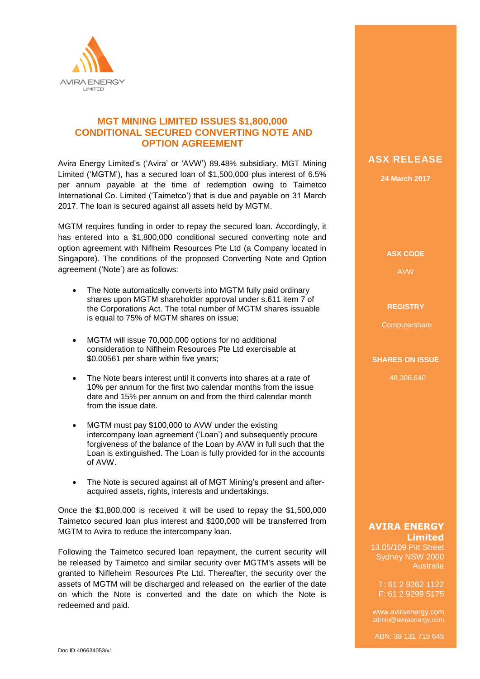

## **MGT MINING LIMITED ISSUES \$1,800,000 CONDITIONAL SECURED CONVERTING NOTE AND OPTION AGREEMENT**

Avira Energy Limited's ('Avira' or 'AVW') 89.48% subsidiary, MGT Mining Limited ('MGTM'), has a secured loan of \$1,500,000 plus interest of 6.5% per annum payable at the time of redemption owing to Taimetco International Co. Limited ('Taimetco') that is due and payable on 31 March 2017. The loan is secured against all assets held by MGTM.

MGTM requires funding in order to repay the secured loan. Accordingly, it has entered into a \$1,800,000 conditional secured converting note and option agreement with Niflheim Resources Pte Ltd (a Company located in Singapore). The conditions of the proposed Converting Note and Option agreement ('Note') are as follows:

- The Note automatically converts into MGTM fully paid ordinary shares upon MGTM shareholder approval under s.611 item 7 of the Corporations Act. The total number of MGTM shares issuable is equal to 75% of MGTM shares on issue;
- MGTM will issue 70,000,000 options for no additional consideration to Niflheim Resources Pte Ltd exercisable at \$0.00561 per share within five years;
- The Note bears interest until it converts into shares at a rate of 10% per annum for the first two calendar months from the issue date and 15% per annum on and from the third calendar month from the issue date.
- MGTM must pay \$100,000 to AVW under the existing intercompany loan agreement ('Loan') and subsequently procure forgiveness of the balance of the Loan by AVW in full such that the Loan is extinguished. The Loan is fully provided for in the accounts of AVW.
- The Note is secured against all of MGT Mining's present and afteracquired assets, rights, interests and undertakings.

Once the \$1,800,000 is received it will be used to repay the \$1,500,000 Taimetco secured loan plus interest and \$100,000 will be transferred from MGTM to Avira to reduce the intercompany loan.

Following the Taimetco secured loan repayment, the current security will be released by Taimetco and similar security over MGTM's assets will be granted to Nifleheim Resources Pte Ltd. Thereafter, the security over the assets of MGTM will be discharged and released on the earlier of the date on which the Note is converted and the date on which the Note is redeemed and paid.

# **ASX RELEASE**

**24 March 2017**

**ASX CODE**

AVW

#### **REGISTRY**

**Computershare** 

#### **SHARES ON ISSUE**

48,306,640

### **AVIRA ENERGY Limited**

13.05/109 Pitt Street Sydney NSW 2000 Australia

T: 61 2 9262 1122 F: 61 2 9299 5175

www.aviraenergy.com admin@aviraenergy.com

ABN: 38 131 715 645